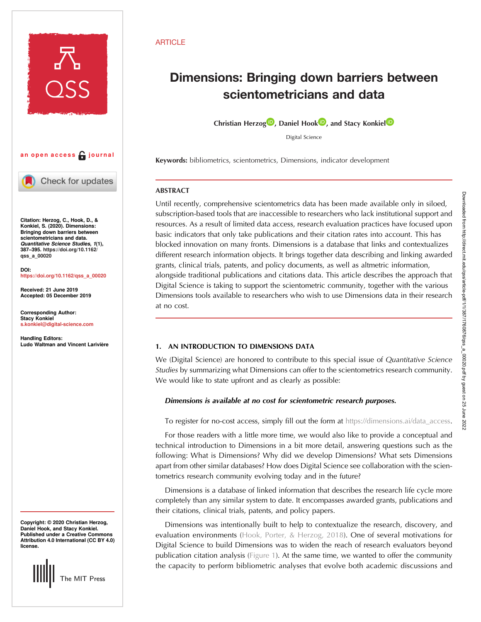

# an open access  $\bigcap$  journal



Check for updates

Citation: Herzog, C., Hook, D., & Konkiel, S. (2020). Dimensions: Bringing down barriers between scientometricians and data. Quantitative Science Studies, 1(1), 387–395. [https://doi.org/10.1162/](https://doi.org/10.1162/qss_a_00020) [qss\\_a\\_00020](https://doi.org/10.1162/qss_a_00020)

DOI: [https://doi.org/10.1162/qss\\_a\\_00020](https://doi.org/10.1162/qss_a_00020)

Received: 21 June 2019 Accepted: 05 December 2019

Corresponding Author: Stacy Konkiel [s.konkiel@digital-science.com](mailto:s.konkiel@digital-science.com)

Handling Editors: Ludo Waltman and Vincent Larivière

Copyright: © 2020 Christian Herzog, Daniel Hook, and Stacy Konkiel. Published under a Creative Commons Attribution 4.0 International (CC BY 4.0) license.



# **ARTICLE**

# Dimensions: Bringing down barriers between scientometricians and data

Christian Herzog<sup>D</sup>[,](https://orcid.org/0000-0002-9983-0033) Danie[l](https://orcid.org/0000-0002-0546-8257) Hook<sup>D</sup>, and Stacy Konkiel<sup>D</sup>

Digital Science

Keywords: bibliometrics, scientometrics, Dimensions, indicator development

# **ABSTRACT**

Until recently, comprehensive scientometrics data has been made available only in siloed, subscription-based tools that are inaccessible to researchers who lack institutional support and resources. As a result of limited data access, research evaluation practices have focused upon basic indicators that only take publications and their citation rates into account. This has blocked innovation on many fronts. Dimensions is a database that links and contextualizes different research information objects. It brings together data describing and linking awarded grants, clinical trials, patents, and policy documents, as well as altmetric information, alongside traditional publications and citations data. This article describes the approach that Digital Science is taking to support the scientometric community, together with the various Dimensions tools available to researchers who wish to use Dimensions data in their research at no cost.

# 1. AN INTRODUCTION TO DIMENSIONS DATA

We (Digital Science) are honored to contribute to this special issue of Quantitative Science Studies by summarizing what Dimensions can offer to the scientometrics research community. We would like to state upfront and as clearly as possible:

# Dimensions is available at no cost for scientometric research purposes.

To register for no-cost access, simply fill out the form at [https://dimensions.ai/data\\_access](https://dimensions.ai/data_access).

For those readers with a little more time, we would also like to provide a conceptual and technical introduction to Dimensions in a bit more detail, answering questions such as the following: What is Dimensions? Why did we develop Dimensions? What sets Dimensions apart from other similar databases? How does Digital Science see collaboration with the scientometrics research community evolving today and in the future?

Dimensions is a database of linked information that describes the research life cycle more completely than any similar system to date. It encompasses awarded grants, publications and their citations, clinical trials, patents, and policy papers.

Dimensions was intentionally built to help to contextualize the research, discovery, and evaluation environments ([Hook, Porter, & Herzog, 2018](#page-8-0)). One of several motivations for Digital Science to build Dimensions was to widen the reach of research evaluators beyond publication citation analysis ([Figure 1](#page-1-0)). At the same time, we wanted to offer the community the capacity to perform bibliometric analyses that evolve both academic discussions and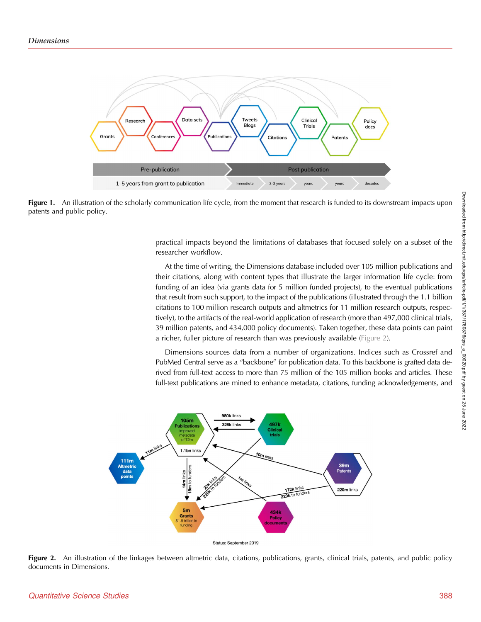<span id="page-1-0"></span>

Figure 1. An illustration of the scholarly communication life cycle, from the moment that research is funded to its downstream impacts upon patents and public policy.

practical impacts beyond the limitations of databases that focused solely on a subset of the researcher workflow.

At the time of writing, the Dimensions database included over 105 million publications and their citations, along with content types that illustrate the larger information life cycle: from funding of an idea (via grants data for 5 million funded projects), to the eventual publications that result from such support, to the impact of the publications (illustrated through the 1.1 billion citations to 100 million research outputs and altmetrics for 11 million research outputs, respectively), to the artifacts of the real-world application of research (more than 497,000 clinical trials, 39 million patents, and 434,000 policy documents). Taken together, these data points can paint a richer, fuller picture of research than was previously available (Figure 2).

Dimensions sources data from a number of organizations. Indices such as Crossref and PubMed Central serve as a "backbone" for publication data. To this backbone is grafted data derived from full-text access to more than 75 million of the 105 million books and articles. These full-text publications are mined to enhance metadata, citations, funding acknowledgements, and



Figure 2. An illustration of the linkages between altmetric data, citations, publications, grants, clinical trials, patents, and public policy documents in Dimensions.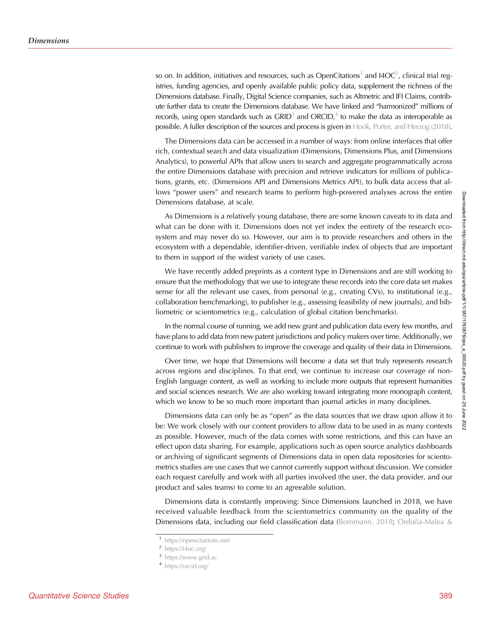so on. In addition, initiatives and resources, such as OpenCitations $^1$  and I4OC $^2$ , clinical trial registries, funding agencies, and openly available public policy data, supplement the richness of the Dimensions database. Finally, Digital Science companies, such as Altmetric and IFI Claims, contribute further data to create the Dimensions database. We have linked and "harmonized" millions of records, using open standards such as  $GRID<sup>3</sup>$  and  $ORCID<sup>4</sup>$  to make the data as interoperable as possible. A fuller description of the sources and process is given in [Hook, Porter, and Herzog \(2018\)](#page-8-0).

The Dimensions data can be accessed in a number of ways: from online interfaces that offer rich, contextual search and data visualization (Dimensions, Dimensions Plus, and Dimensions Analytics), to powerful APIs that allow users to search and aggregate programmatically across the entire Dimensions database with precision and retrieve indicators for millions of publications, grants, etc. (Dimensions API and Dimensions Metrics API), to bulk data access that allows "power users" and research teams to perform high-powered analyses across the entire Dimensions database, at scale.

As Dimensions is a relatively young database, there are some known caveats to its data and what can be done with it. Dimensions does not yet index the entirety of the research ecosystem and may never do so. However, our aim is to provide researchers and others in the ecosystem with a dependable, identifier-driven, verifiable index of objects that are important to them in support of the widest variety of use cases.

We have recently added preprints as a content type in Dimensions and are still working to ensure that the methodology that we use to integrate these records into the core data set makes sense for all the relevant use cases, from personal (e.g., creating CVs), to institutional (e.g., collaboration benchmarking), to publisher (e.g., assessing feasibility of new journals), and bibliometric or scientometrics (e.g., calculation of global citation benchmarks).

In the normal course of running, we add new grant and publication data every few months, and have plans to add data from new patent jurisdictions and policy makers over time. Additionally, we continue to work with publishers to improve the coverage and quality of their data in Dimensions.

Over time, we hope that Dimensions will become a data set that truly represents research across regions and disciplines. To that end, we continue to increase our coverage of non-English language content, as well as working to include more outputs that represent humanities and social sciences research. We are also working toward integrating more monograph content, which we know to be so much more important than journal articles in many disciplines.

Dimensions data can only be as "open" as the data sources that we draw upon allow it to be: We work closely with our content providers to allow data to be used in as many contexts as possible. However, much of the data comes with some restrictions, and this can have an effect upon data sharing. For example, applications such as open source analytics dashboards or archiving of significant segments of Dimensions data in open data repositories for scientometrics studies are use cases that we cannot currently support without discussion. We consider each request carefully and work with all parties involved (the user, the data provider, and our product and sales teams) to come to an agreeable solution.

Dimensions data is constantly improving: Since Dimensions launched in 2018, we have received valuable feedback from the scientometrics community on the quality of the Dimensions data, including our field classification data [\(Bornmann, 2018](#page-7-0); [Orduña-Malea &](#page-8-0)

<sup>1</sup> <https://opencitations.net/>

<sup>2</sup> <https://i4oc.org/>

<sup>3</sup> <https://www.grid.ac>

<sup>4</sup> <https://orcid.org/>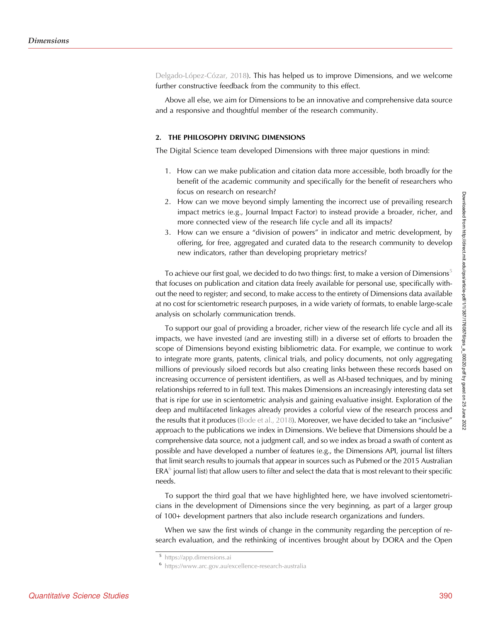[Delgado-López-Cózar, 2018](#page-8-0)). This has helped us to improve Dimensions, and we welcome further constructive feedback from the community to this effect.

Above all else, we aim for Dimensions to be an innovative and comprehensive data source and a responsive and thoughtful member of the research community.

## 2. THE PHILOSOPHY DRIVING DIMENSIONS

The Digital Science team developed Dimensions with three major questions in mind:

- 1. How can we make publication and citation data more accessible, both broadly for the benefit of the academic community and specifically for the benefit of researchers who focus on research on research?
- 2. How can we move beyond simply lamenting the incorrect use of prevailing research impact metrics (e.g., Journal Impact Factor) to instead provide a broader, richer, and more connected view of the research life cycle and all its impacts?
- 3. How can we ensure a "division of powers" in indicator and metric development, by offering, for free, aggregated and curated data to the research community to develop new indicators, rather than developing proprietary metrics?

To achieve our first goal, we decided to do two things: first, to make a version of Dimensions<sup>5</sup> that focuses on publication and citation data freely available for personal use, specifically without the need to register; and second, to make access to the entirety of Dimensions data available at no cost for scientometric research purposes, in a wide variety of formats, to enable large-scale analysis on scholarly communication trends.

To support our goal of providing a broader, richer view of the research life cycle and all its impacts, we have invested (and are investing still) in a diverse set of efforts to broaden the scope of Dimensions beyond existing bibliometric data. For example, we continue to work to integrate more grants, patents, clinical trials, and policy documents, not only aggregating millions of previously siloed records but also creating links between these records based on increasing occurrence of persistent identifiers, as well as AI-based techniques, and by mining relationships referred to in full text. This makes Dimensions an increasingly interesting data set that is ripe for use in scientometric analysis and gaining evaluative insight. Exploration of the deep and multifaceted linkages already provides a colorful view of the research process and the results that it produces [\(Bode et al., 2018](#page-7-0)). Moreover, we have decided to take an "inclusive" approach to the publications we index in Dimensions. We believe that Dimensions should be a comprehensive data source, not a judgment call, and so we index as broad a swath of content as possible and have developed a number of features (e.g., the Dimensions API, journal list filters that limit search results to journals that appear in sources such as Pubmed or the 2015 Australian  $ERA<sup>6</sup>$  journal list) that allow users to filter and select the data that is most relevant to their specific needs.

To support the third goal that we have highlighted here, we have involved scientometricians in the development of Dimensions since the very beginning, as part of a larger group of 100+ development partners that also include research organizations and funders.

When we saw the first winds of change in the community regarding the perception of research evaluation, and the rethinking of incentives brought about by DORA and the Open

<sup>5</sup> <https://app.dimensions.ai>

<sup>6</sup> <https://www.arc.gov.au/excellence-research-australia>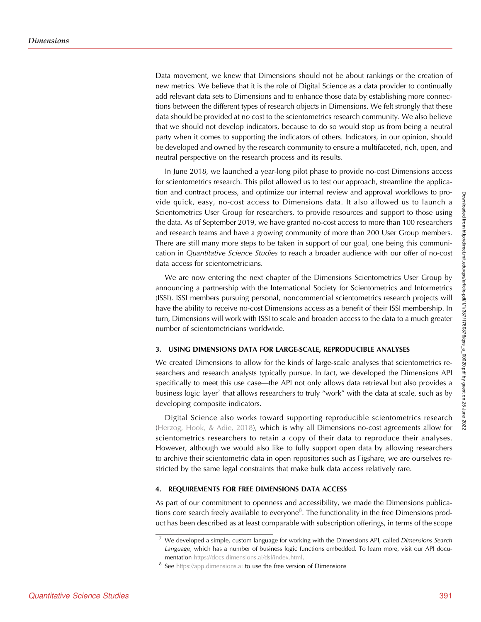Data movement, we knew that Dimensions should not be about rankings or the creation of new metrics. We believe that it is the role of Digital Science as a data provider to continually add relevant data sets to Dimensions and to enhance those data by establishing more connections between the different types of research objects in Dimensions. We felt strongly that these data should be provided at no cost to the scientometrics research community. We also believe that we should not develop indicators, because to do so would stop us from being a neutral party when it comes to supporting the indicators of others. Indicators, in our opinion, should be developed and owned by the research community to ensure a multifaceted, rich, open, and neutral perspective on the research process and its results.

In June 2018, we launched a year-long pilot phase to provide no-cost Dimensions access for scientometrics research. This pilot allowed us to test our approach, streamline the application and contract process, and optimize our internal review and approval workflows to provide quick, easy, no-cost access to Dimensions data. It also allowed us to launch a Scientometrics User Group for researchers, to provide resources and support to those using the data. As of September 2019, we have granted no-cost access to more than 100 researchers and research teams and have a growing community of more than 200 User Group members. There are still many more steps to be taken in support of our goal, one being this communication in Quantitative Science Studies to reach a broader audience with our offer of no-cost data access for scientometricians.

We are now entering the next chapter of the Dimensions Scientometrics User Group by announcing a partnership with the International Society for Scientometrics and Informetrics (ISSI). ISSI members pursuing personal, noncommercial scientometrics research projects will have the ability to receive no-cost Dimensions access as a benefit of their ISSI membership. In turn, Dimensions will work with ISSI to scale and broaden access to the data to a much greater number of scientometricians worldwide.

### 3. USING DIMENSIONS DATA FOR LARGE-SCALE, REPRODUCIBLE ANALYSES

We created Dimensions to allow for the kinds of large-scale analyses that scientometrics researchers and research analysts typically pursue. In fact, we developed the Dimensions API specifically to meet this use case—the API not only allows data retrieval but also provides a business logic layer<sup>7</sup> that allows researchers to truly "work" with the data at scale, such as by developing composite indicators.

Digital Science also works toward supporting reproducible scientometrics research ([Herzog, Hook, & Adie, 2018](#page-8-0)), which is why all Dimensions no-cost agreements allow for scientometrics researchers to retain a copy of their data to reproduce their analyses. However, although we would also like to fully support open data by allowing researchers to archive their scientometric data in open repositories such as Figshare, we are ourselves restricted by the same legal constraints that make bulk data access relatively rare.

#### 4. REQUIREMENTS FOR FREE DIMENSIONS DATA ACCESS

As part of our commitment to openness and accessibility, we made the Dimensions publications core search freely available to everyone<sup>8</sup>. The functionality in the free Dimensions product has been described as at least comparable with subscription offerings, in terms of the scope

 $7$  We developed a simple, custom language for working with the Dimensions API, called Dimensions Search Language, which has a number of business logic functions embedded. To learn more, visit our API documentation <https://docs.dimensions.ai/dsl/index.html>.

<sup>&</sup>lt;sup>8</sup> See <https://app.dimensions.ai> to use the free version of Dimensions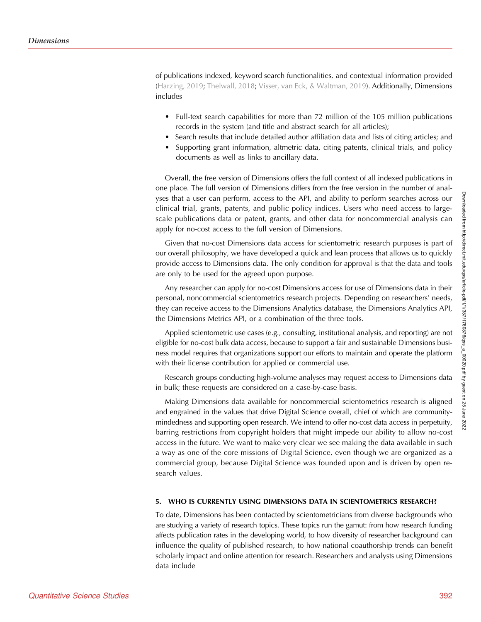of publications indexed, keyword search functionalities, and contextual information provided ([Harzing, 2019;](#page-7-0) [Thelwall, 2018](#page-8-0); [Visser, van Eck, & Waltman, 2019](#page-8-0)). Additionally, Dimensions includes

- Full-text search capabilities for more than 72 million of the 105 million publications records in the system (and title and abstract search for all articles);
- Search results that include detailed author affiliation data and lists of citing articles; and
- Supporting grant information, altmetric data, citing patents, clinical trials, and policy documents as well as links to ancillary data.

Overall, the free version of Dimensions offers the full context of all indexed publications in one place. The full version of Dimensions differs from the free version in the number of analyses that a user can perform, access to the API, and ability to perform searches across our clinical trial, grants, patents, and public policy indices. Users who need access to largescale publications data or patent, grants, and other data for noncommercial analysis can apply for no-cost access to the full version of Dimensions.

Given that no-cost Dimensions data access for scientometric research purposes is part of our overall philosophy, we have developed a quick and lean process that allows us to quickly provide access to Dimensions data. The only condition for approval is that the data and tools are only to be used for the agreed upon purpose.

Any researcher can apply for no-cost Dimensions access for use of Dimensions data in their personal, noncommercial scientometrics research projects. Depending on researchers' needs, they can receive access to the Dimensions Analytics database, the Dimensions Analytics API, the Dimensions Metrics API, or a combination of the three tools.

Applied scientometric use cases (e.g., consulting, institutional analysis, and reporting) are not eligible for no-cost bulk data access, because to support a fair and sustainable Dimensions business model requires that organizations support our efforts to maintain and operate the platform with their license contribution for applied or commercial use.

Research groups conducting high-volume analyses may request access to Dimensions data in bulk; these requests are considered on a case-by-case basis.

Making Dimensions data available for noncommercial scientometrics research is aligned and engrained in the values that drive Digital Science overall, chief of which are communitymindedness and supporting open research. We intend to offer no-cost data access in perpetuity, barring restrictions from copyright holders that might impede our ability to allow no-cost access in the future. We want to make very clear we see making the data available in such a way as one of the core missions of Digital Science, even though we are organized as a commercial group, because Digital Science was founded upon and is driven by open research values.

## 5. WHO IS CURRENTLY USING DIMENSIONS DATA IN SCIENTOMETRICS RESEARCH?

To date, Dimensions has been contacted by scientometricians from diverse backgrounds who are studying a variety of research topics. These topics run the gamut: from how research funding affects publication rates in the developing world, to how diversity of researcher background can influence the quality of published research, to how national coauthorship trends can benefit scholarly impact and online attention for research. Researchers and analysts using Dimensions data include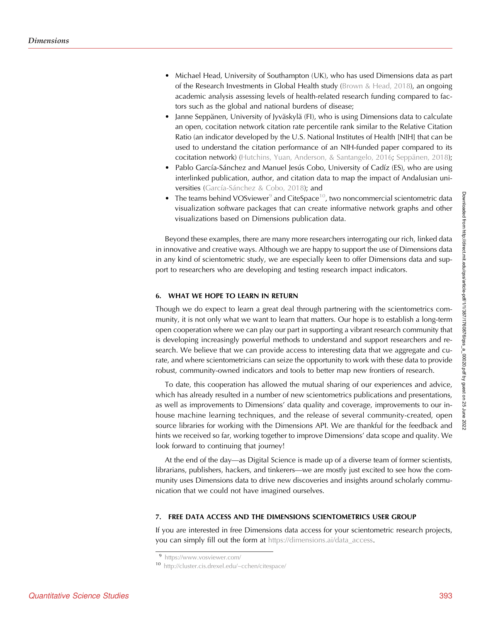- Michael Head, University of Southampton (UK), who has used Dimensions data as part of the Research Investments in Global Health study ([Brown & Head, 2018\)](#page-7-0), an ongoing academic analysis assessing levels of health-related research funding compared to factors such as the global and national burdens of disease;
- Janne Seppänen, University of Jyväskylä (FI), who is using Dimensions data to calculate an open, cocitation network citation rate percentile rank similar to the Relative Citation Ratio (an indicator developed by the U.S. National Institutes of Health [NIH] that can be used to understand the citation performance of an NIH-funded paper compared to its cocitation network) ([Hutchins, Yuan, Anderson, & Santangelo, 2016](#page-8-0); [Seppänen, 2018\)](#page-8-0);
- Pablo García-Sánchez and Manuel Jesús Cobo, University of Cadíz (ES), who are using interlinked publication, author, and citation data to map the impact of Andalusian universities [\(García-Sánchez & Cobo, 2018](#page-7-0)); and
- The teams behind VOSviewer<sup>9</sup> and CiteSpace<sup>10</sup>, two noncommercial scientometric data visualization software packages that can create informative network graphs and other visualizations based on Dimensions publication data.

Beyond these examples, there are many more researchers interrogating our rich, linked data in innovative and creative ways. Although we are happy to support the use of Dimensions data in any kind of scientometric study, we are especially keen to offer Dimensions data and support to researchers who are developing and testing research impact indicators.

#### 6. WHAT WE HOPE TO LEARN IN RETURN

Though we do expect to learn a great deal through partnering with the scientometrics community, it is not only what we want to learn that matters. Our hope is to establish a long-term open cooperation where we can play our part in supporting a vibrant research community that is developing increasingly powerful methods to understand and support researchers and research. We believe that we can provide access to interesting data that we aggregate and curate, and where scientometricians can seize the opportunity to work with these data to provide robust, community-owned indicators and tools to better map new frontiers of research.

To date, this cooperation has allowed the mutual sharing of our experiences and advice, which has already resulted in a number of new scientometrics publications and presentations, as well as improvements to Dimensions' data quality and coverage, improvements to our inhouse machine learning techniques, and the release of several community-created, open source libraries for working with the Dimensions API. We are thankful for the feedback and hints we received so far, working together to improve Dimensions' data scope and quality. We look forward to continuing that journey!

At the end of the day—as Digital Science is made up of a diverse team of former scientists, librarians, publishers, hackers, and tinkerers—we are mostly just excited to see how the community uses Dimensions data to drive new discoveries and insights around scholarly communication that we could not have imagined ourselves.

#### 7. FREE DATA ACCESS AND THE DIMENSIONS SCIENTOMETRICS USER GROUP

If you are interested in free Dimensions data access for your scientometric research projects, you can simply fill out the form at [https://dimensions.ai/data\\_access.](https://dimensions.ai/data_access)

<sup>9</sup> <https://www.vosviewer.com/>

<sup>10</sup> <http://cluster.cis.drexel.edu/~cchen/citespace/>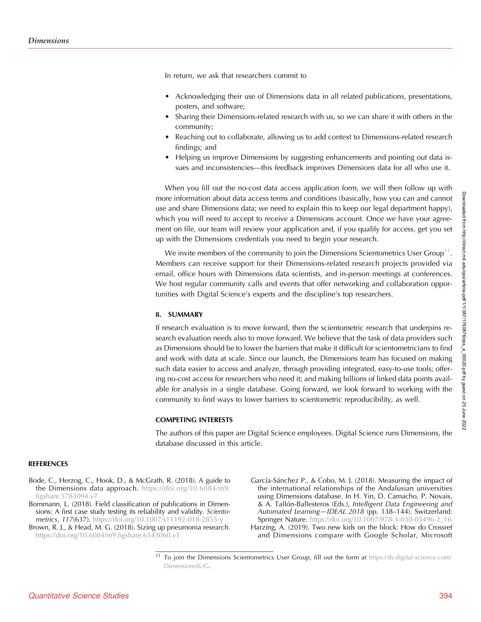<span id="page-7-0"></span>In return, we ask that researchers commit to

- Acknowledging their use of Dimensions data in all related publications, presentations, posters, and software;
- Sharing their Dimensions-related research with us, so we can share it with others in the community;
- Reaching out to collaborate, allowing us to add context to Dimensions-related research findings; and
- Helping us improve Dimensions by suggesting enhancements and pointing out data issues and inconsistencies—this feedback improves Dimensions data for all who use it.

When you fill out the no-cost data access application form, we will then follow up with more information about data access terms and conditions (basically, how you can and cannot use and share Dimensions data; we need to explain this to keep our legal department happy), which you will need to accept to receive a Dimensions account. Once we have your agreement on file, our team will review your application and, if you qualify for access, get you set up with the Dimensions credentials you need to begin your research.

We invite members of the community to join the Dimensions Scientometrics User Group<sup>11</sup>. Members can receive support for their Dimensions-related research projects provided via email, office hours with Dimensions data scientists, and in-person meetings at conferences. We host regular community calls and events that offer networking and collaboration opportunities with Digital Science's experts and the discipline's top researchers.

#### 8. SUMMARY

If research evaluation is to move forward, then the scientometric research that underpins research evaluation needs also to move forward. We believe that the task of data providers such as Dimensions should be to lower the barriers that make it difficult for scientometricians to find and work with data at scale. Since our launch, the Dimensions team has focused on making such data easier to access and analyze, through providing integrated, easy-to-use tools; offering no-cost access for researchers who need it; and making billions of linked data points available for analysis in a single database. Going forward, we look forward to working with the community to find ways to lower barriers to scientometric reproducibility, as well.

#### COMPETING INTERESTS

The authors of this paper are Digital Science employees. Digital Science runs Dimensions, the database discussed in this article.

#### REFERENCES

- Bode, C., Herzog, C., Hook, D., & McGrath, R. (2018). A guide to the Dimensions data approach. [https://doi.org/10.6084/m9.](https://doi.org/10.6084/m9.figshare.5783094.v7) [figshare.5783094.v7](https://doi.org/10.6084/m9.figshare.5783094.v7)
- Bornmann, L. (2018). Field classification of publications in Dimensions: A first case study testing its reliability and validity. Scientometrics, 117(637). <https://doi.org/10.1007/s11192-018-2855-y>
- Brown, R. J., & Head, M. G. (2018). Sizing up pneumonia research. <https://doi.org/10.6084/m9.figshare.6143060.v1>
- García-Sánchez P., & Cobo, M. J. (2018). Measuring the impact of the international relationships of the Andalusian universities using Dimensions database. In H. Yin, D. Camacho, P. Novais, & A. Tallón-Ballesteros (Eds.), Intelligent Data Engineering and Automated Learning—IDEAL 2018 (pp. 138–144). Switzerland: Springer Nature. [https://doi.org/10.1007/978-3-030-03496-2\\_16](https://doi.org/10.1007/978-3-030-03496-2_16) Harzing, A. (2019). Two new kids on the block: How do Crossref and Dimensions compare with Google Scholar, Microsoft

<sup>&</sup>lt;sup>11</sup> To join the Dimensions Scientometrics User Group, fill out the form at [https://ds.digital-science.com/](https://ds.digital-science.com/DimensionsSUG) [DimensionsSUG.](https://ds.digital-science.com/DimensionsSUG)